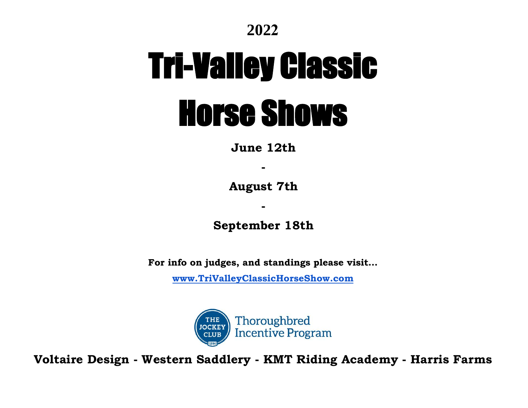

# Tri-Valley Classic Horse Shows

**June 12th** 

**-** 

**August 7th**

**September 18th** 

**-** 

**For info on judges, and standings please visit…**

**[www.TriValleyClassicHorseShow.com](http://www.trivalleyclassichorseshow.com/)**



**Voltaire Design - Western Saddlery - KMT Riding Academy - Harris Farms**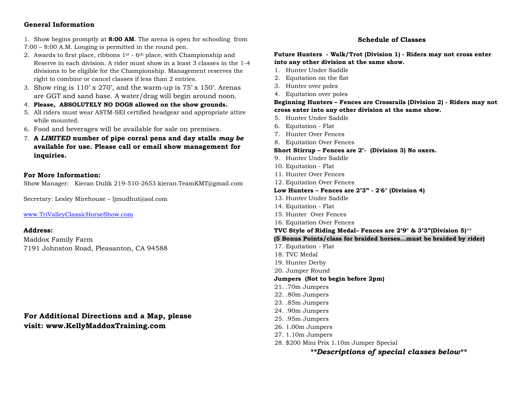### **General Information**

1. Show begins promptly at **8:00 AM**. The arena is open for schooling from 7:00 – 8:00 A.M. Longing is permitted in the round pen.

- 2. Awards to first place, ribbons  $1<sup>st</sup>$  6<sup>th</sup> place, with Championship and Reserve in each division. A rider must show in a least 3 classes in the 1-4 divisions to be eligible for the Championship. Management reserves the right to combine or cancel classes if less than 2 entries.
- 3. Show ring is  $110'$  x  $270'$ , and the warm-up is  $75'$  x  $150'$ . Arenas are GGT and sand base. A water/drag will begin around noon.
- 4. **Please, ABSOLUTELY NO DOGS allowed on the show grounds.**
- 5. All riders must wear ASTM-SEI certified headgear and appropriate attire while mounted.
- 6. Food and beverages will be available for sale on premises.
- 7. **A** *LIMITED* **number of pipe corral pens and day stalls** *may be* **available for use. Please call or email show management for inquiries.**

#### **For More Information:**

Show Manager: Kieran Dulik 219-510-2653 [kieran.TeamKMT@g](mailto:lidiz@ucdavis.edu)mail.com

Secretary: Lesley Mirehouse – ljmudhut@aol.com

[www.TriValleyClassicHorseShow.com](http://www.trivalleyclassichorseshow.com/) 

#### **Address:**

Maddox Family Farm 7191 Johnston Road, Pleasanton, CA 94588

**For Additional Directions and a Map, please visit: [www.KellyMadd](http://www.ecwc.org/)oxTraining.com**

#### **Schedule of Classes**

**Future Hunters - Walk/Trot (Division 1) - Riders may not cross enter into any other division at the same show.** 

- 1. Hunter Under Saddle
- 2. Equitation on the flat
- 3. Hunter over poles
- 4. Equitation over poles

**Beginning Hunters – Fences are Crossrails (Division 2) - Riders may not cross enter into any other division at the same show.** 

- 5. Hunter Under Saddle
- 6. Equitation Flat
- 7. Hunter Over Fences
- 8. Equitation Over Fences

#### **Short Stirrup – Fences are 2'- (Division 3) No oxers.**

- 9. Hunter Under Saddle
- 10. Equitation Flat
- 11. Hunter Over Fences
- 12. Equitation Over Fences

#### **Low Hunters – Fences are 2'3" - 2'6" (Division 4)**

- 13. Hunter Under Saddle
- 14. Equitation Flat
- 15. Hunter Over Fences
- 16. Equitation Over Fences

#### **TVC Style of Riding Medal– Fences are 2'9" & 3'3"(Division 5)**\*\*

#### **(5 Bonus Points/class for braided horses…must be braided by rider)**

- 17. Equitation Flat
- 18. TVC Medal
- 19. Hunter Derby
- 20. Jumper Round

#### **Jumpers (Not to begin before 2pm)**

- 21. .70m Jumpers
- 22. .80m Jumpers
- 23. .85m Jumpers
- 24. .90m Jumpers
- 25. .95m Jumpers
- 26. 1.00m Jumpers
- 27. 1.10m Jumpers
- 28. \$200 Mini Prix 1.10m Jumper Special

*\*\*Descriptions of special classes below\*\**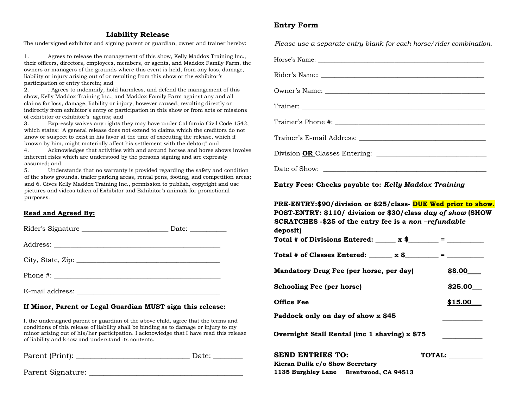#### **Liability Release**

The undersigned exhibitor and signing parent or guardian, owner and trainer hereby:

1. Agrees to release the management of this show, Kelly Maddox Training Inc., their officers, directors, employees, members, or agents, and Maddox Family Farm, the owners or managers of the grounds where this event is held, from any loss, damage, liability or injury arising out of or resulting from this show or the exhibitor's participation or entry therein; and

2. . Agrees to indemnify, hold harmless, and defend the management of this show, Kelly Maddox Training Inc., and Maddox Family Farm against any and all claims for loss, damage, liability or injury, however caused, resulting directly or indirectly from exhibitor's entry or participation in this show or from acts or missions of exhibitor or exhibitor's agents; and

3. Expressly waives any rights they may have under California Civil Code 1542, which states; "A general release does not extend to claims which the creditors do not know or suspect to exist in his favor at the time of executing the release, which if known by him, might materially affect his settlement with the debtor;" and

4. Acknowledges that activities with and around horses and horse shows involve inherent risks which are understood by the persons signing and are expressly assumed; and

5. Understands that no warranty is provided regarding the safety and condition of the show grounds, trailer parking areas, rental pens, footing, and competition areas; and 6. Gives Kelly Maddox Training Inc., permission to publish, copyright and use pictures and videos taken of Exhibitor and Exhibitor's animals for promotional purposes.

#### **Read and Agreed By:**

| E-mail address: |  |
|-----------------|--|

#### **If Minor, Parent or Legal Guardian MUST sign this release:**

I, the undersigned parent or guardian of the above child, agree that the terms and conditions of this release of liability shall be binding as to damage or injury to my minor arising out of his/her participation. I acknowledge that I have read this release of liability and know and understand its contents.

| Parent (Print): |  |
|-----------------|--|
|-----------------|--|

Parent Signature:

## **Entry Form**

*Please use a separate entry blank for each horse/rider combination.*

Horse's Name: \_\_\_\_\_\_\_\_\_\_\_\_\_\_\_\_\_\_\_\_\_\_\_\_\_\_\_\_\_\_\_\_\_\_\_\_\_\_\_\_\_\_\_\_\_\_\_\_\_\_

Rider's Name: \_\_\_\_\_\_\_\_\_\_\_\_\_\_\_\_\_\_\_\_\_\_\_\_\_\_\_\_\_\_\_\_\_\_\_\_\_\_\_\_\_\_\_\_\_\_\_\_\_

Owner's Name: \_\_\_\_\_\_\_\_\_\_\_\_\_\_\_\_\_\_\_\_\_\_\_\_\_\_\_\_\_\_\_\_\_\_\_\_\_\_\_\_\_\_\_\_\_\_\_\_

Trainer:

Trainer's Phone #:

Trainer's E-mail Address: \_\_\_\_\_\_\_\_\_\_\_\_\_\_\_\_\_\_\_\_\_\_\_\_\_\_\_\_\_\_\_\_\_\_\_\_\_\_

Division **OR** Classes Entering: \_\_\_\_\_\_\_\_\_\_\_\_\_\_\_\_\_\_\_\_\_\_\_\_\_\_\_\_\_\_\_\_\_

Date of Show:

**Entry Fees: Checks payable to:** *Kelly Maddox Training*

# **PRE-ENTRY:\$90/division or \$25/class- DUE Wed prior to show. POST-ENTRY: \$110/ division or \$30/class** *day of show* **(SHOW**

| SCRATCHES -\$25 of the entry fee is a non-refundable |         |
|------------------------------------------------------|---------|
| deposit)                                             |         |
| Total # of Divisions Entered: $x$ \$ =               |         |
| Total # of Classes Entered: $x$ \$ = $       -$      |         |
| Mandatory Drug Fee (per horse, per day)              | \$8.00  |
| <b>Schooling Fee (per horse)</b>                     | \$25.00 |
| <b>Office Fee</b>                                    | \$15.00 |
| Paddock only on day of show x \$45                   |         |
| Overnight Stall Rental (inc 1 shaving) x \$75        |         |

| <b>SEND ENTRIES TO:</b>         |                     | TOTAL: |
|---------------------------------|---------------------|--------|
| Kieran Dulik c/o Show Secretary |                     |        |
| 1135 Burghley Lane              | Brentwood, CA 94513 |        |